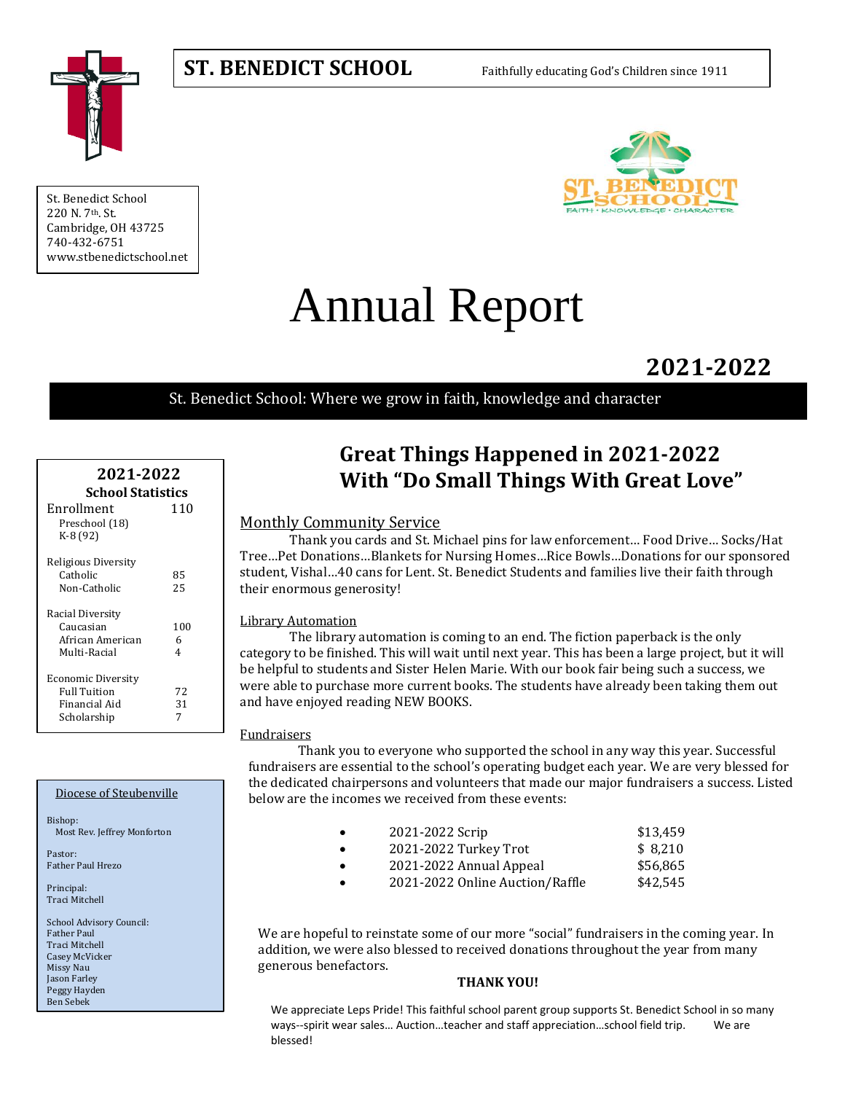# **ST. BENEDICT SCHOOL** Faithfully educating God's Children since 1911



St. Benedict School 220 N. 7th. St. Cambridge, OH 43725 740-432-6751 www.stbenedictschool.net



# Annual Report

**2021-2022**

St. Benedict School: Where we grow in faith, knowledge and character

| 2021-2022<br><b>School Statistics</b> |                |  |
|---------------------------------------|----------------|--|
| Enrollment                            | 110            |  |
| Preschool (18)<br>K-8 (92)            |                |  |
| Religious Diversity                   |                |  |
| Catholic                              | 85             |  |
| Non-Catholic                          | 25             |  |
| Racial Diversity                      |                |  |
| Caucasian                             | 100            |  |
| African American                      | 6              |  |
| Multi-Racial                          | $\overline{4}$ |  |
| Economic Diversity                    |                |  |
| <b>Full Tuition</b>                   | 72             |  |
| Financial Aid                         | 31             |  |
| Scholarship                           | 7              |  |

#### Diocese of Steubenville

Bishop: Most Rev. Jeffrey Monforton

Pastor: Father Paul Hrezo

Principal: Traci Mitchell

School Advisory Council: Father Paul Traci Mitchell Casey McVicker Missy Nau Jason Farley Peggy Hayden Ben Sebek

# **Great Things Happened in 2021-2022 With "Do Small Things With Great Love"**

# Monthly Community Service

Thank you cards and St. Michael pins for law enforcement… Food Drive… Socks/Hat Tree…Pet Donations…Blankets for Nursing Homes…Rice Bowls…Donations for our sponsored student, Vishal…40 cans for Lent. St. Benedict Students and families live their faith through their enormous generosity!

# Library Automation

The library automation is coming to an end. The fiction paperback is the only category to be finished. This will wait until next year. This has been a large project, but it will be helpful to students and Sister Helen Marie. With our book fair being such a success, we were able to purchase more current books. The students have already been taking them out and have enjoyed reading NEW BOOKS.

# Fundraisers

Thank you to everyone who supported the school in any way this year. Successful fundraisers are essential to the school's operating budget each year. We are very blessed for the dedicated chairpersons and volunteers that made our major fundraisers a success. Listed below are the incomes we received from these events:

| 2021-2022 Scrip | \$13,459 |
|-----------------|----------|
|                 |          |

- 2021-2022 Turkey Trot \$8,210
- 2021-2022 Annual Appeal \$56,865
- 2021-2022 Online Auction/Raffle \$42,545

We are hopeful to reinstate some of our more "social" fundraisers in the coming year. In addition, we were also blessed to received donations throughout the year from many generous benefactors.

#### **THANK YOU!**

We appreciate Leps Pride! This faithful school parent group supports St. Benedict School in so many ways--spirit wear sales... Auction...teacher and staff appreciation...school field trip. We are blessed!